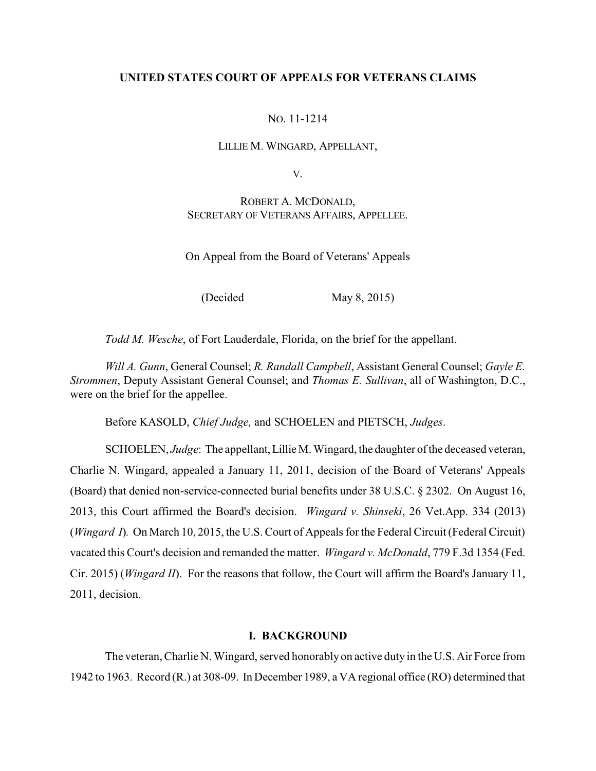# **UNITED STATES COURT OF APPEALS FOR VETERANS CLAIMS**

# NO. 11-1214

## LILLIE M. WINGARD, APPELLANT,

V.

# ROBERT A. MCDONALD, SECRETARY OF VETERANS AFFAIRS, APPELLEE.

On Appeal from the Board of Veterans' Appeals

(Decided May 8, 2015)

*Todd M. Wesche*, of Fort Lauderdale, Florida, on the brief for the appellant.

*Will A. Gunn*, General Counsel; *R. Randall Campbell*, Assistant General Counsel; *Gayle E. Strommen*, Deputy Assistant General Counsel; and *Thomas E. Sullivan*, all of Washington, D.C., were on the brief for the appellee.

Before KASOLD, *Chief Judge,* and SCHOELEN and PIETSCH, *Judges*.

SCHOELEN, *Judge*: The appellant, Lillie M. Wingard, the daughter of the deceased veteran, Charlie N. Wingard, appealed a January 11, 2011, decision of the Board of Veterans' Appeals (Board) that denied non-service-connected burial benefits under 38 U.S.C. § 2302. On August 16, 2013, this Court affirmed the Board's decision. *Wingard v. Shinseki*, 26 Vet.App. 334 (2013) (*Wingard I*)*.* On March 10, 2015, the U.S. Court of Appeals for the Federal Circuit (Federal Circuit) vacated this Court's decision and remanded the matter. *Wingard v. McDonald*, 779 F.3d 1354 (Fed. Cir. 2015) (*Wingard II*). For the reasons that follow, the Court will affirm the Board's January 11, 2011, decision.

## **I. BACKGROUND**

The veteran, Charlie N. Wingard, served honorably on active duty in the U.S. Air Force from 1942 to 1963. Record (R.) at 308-09. In December 1989, a VA regional office (RO) determined that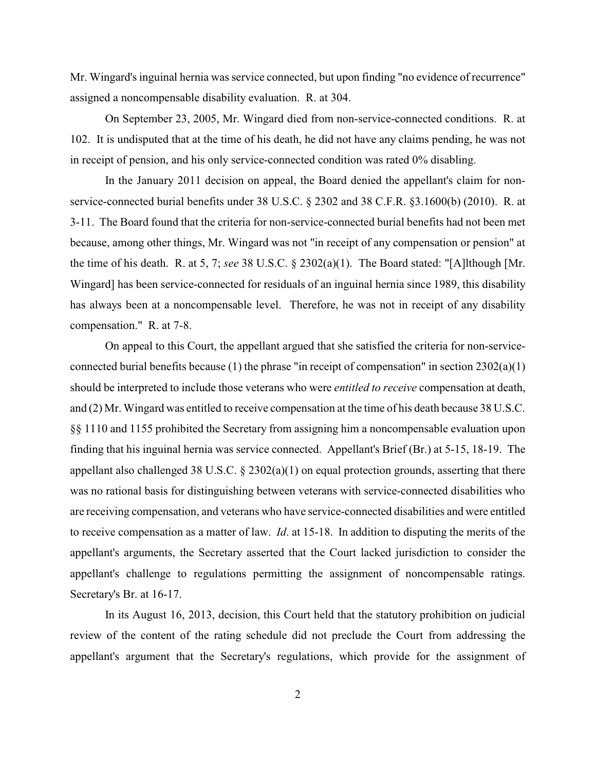Mr. Wingard's inguinal hernia was service connected, but upon finding "no evidence of recurrence" assigned a noncompensable disability evaluation. R. at 304.

On September 23, 2005, Mr. Wingard died from non-service-connected conditions. R. at 102. It is undisputed that at the time of his death, he did not have any claims pending, he was not in receipt of pension, and his only service-connected condition was rated 0% disabling.

In the January 2011 decision on appeal, the Board denied the appellant's claim for nonservice-connected burial benefits under 38 U.S.C. § 2302 and 38 C.F.R. §3.1600(b) (2010). R. at 3-11. The Board found that the criteria for non-service-connected burial benefits had not been met because, among other things, Mr. Wingard was not "in receipt of any compensation or pension" at the time of his death. R. at 5, 7; *see* 38 U.S.C. § 2302(a)(1). The Board stated: "[A]lthough [Mr. Wingard] has been service-connected for residuals of an inguinal hernia since 1989, this disability has always been at a noncompensable level. Therefore, he was not in receipt of any disability compensation." R. at 7-8.

On appeal to this Court, the appellant argued that she satisfied the criteria for non-serviceconnected burial benefits because (1) the phrase "in receipt of compensation" in section  $2302(a)(1)$ should be interpreted to include those veterans who were *entitled to receive* compensation at death, and (2) Mr. Wingard was entitled to receive compensation at the time of his death because 38 U.S.C. §§ 1110 and 1155 prohibited the Secretary from assigning him a noncompensable evaluation upon finding that his inguinal hernia was service connected. Appellant's Brief (Br.) at 5-15, 18-19. The appellant also challenged 38 U.S.C. § 2302(a)(1) on equal protection grounds, asserting that there was no rational basis for distinguishing between veterans with service-connected disabilities who are receiving compensation, and veterans who have service-connected disabilities and were entitled to receive compensation as a matter of law. *Id*. at 15-18. In addition to disputing the merits of the appellant's arguments, the Secretary asserted that the Court lacked jurisdiction to consider the appellant's challenge to regulations permitting the assignment of noncompensable ratings. Secretary's Br. at 16-17.

In its August 16, 2013, decision, this Court held that the statutory prohibition on judicial review of the content of the rating schedule did not preclude the Court from addressing the appellant's argument that the Secretary's regulations, which provide for the assignment of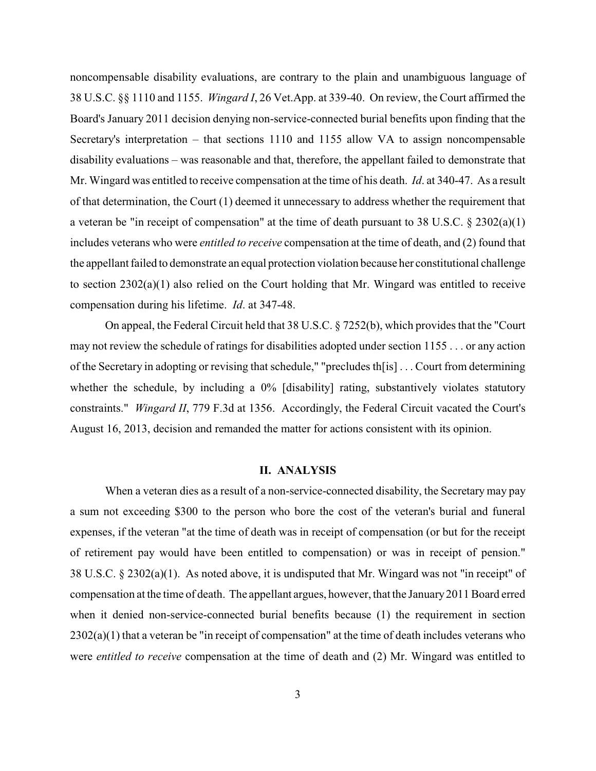noncompensable disability evaluations, are contrary to the plain and unambiguous language of 38 U.S.C. §§ 1110 and 1155. *Wingard I*, 26 Vet.App. at 339-40. On review, the Court affirmed the Board's January 2011 decision denying non-service-connected burial benefits upon finding that the Secretary's interpretation – that sections 1110 and 1155 allow VA to assign noncompensable disability evaluations – was reasonable and that, therefore, the appellant failed to demonstrate that Mr. Wingard was entitled to receive compensation at the time of his death. *Id*. at 340-47. As a result of that determination, the Court (1) deemed it unnecessary to address whether the requirement that a veteran be "in receipt of compensation" at the time of death pursuant to 38 U.S.C. § 2302(a)(1) includes veterans who were *entitled to receive* compensation at the time of death, and (2) found that the appellant failed to demonstrate an equal protection violation because her constitutional challenge to section 2302(a)(1) also relied on the Court holding that Mr. Wingard was entitled to receive compensation during his lifetime. *Id*. at 347-48.

On appeal, the Federal Circuit held that 38 U.S.C. § 7252(b), which provides that the "Court may not review the schedule of ratings for disabilities adopted under section 1155 . . . or any action of the Secretary in adopting or revising that schedule," "precludes th[is] . . . Court from determining whether the schedule, by including a 0% [disability] rating, substantively violates statutory constraints." *Wingard II*, 779 F.3d at 1356. Accordingly, the Federal Circuit vacated the Court's August 16, 2013, decision and remanded the matter for actions consistent with its opinion.

### **II. ANALYSIS**

When a veteran dies as a result of a non-service-connected disability, the Secretary may pay a sum not exceeding \$300 to the person who bore the cost of the veteran's burial and funeral expenses, if the veteran "at the time of death was in receipt of compensation (or but for the receipt of retirement pay would have been entitled to compensation) or was in receipt of pension." 38 U.S.C. § 2302(a)(1). As noted above, it is undisputed that Mr. Wingard was not "in receipt" of compensation at the time of death. The appellant argues, however, that the January2011 Board erred when it denied non-service-connected burial benefits because (1) the requirement in section  $2302(a)(1)$  that a veteran be "in receipt of compensation" at the time of death includes veterans who were *entitled to receive* compensation at the time of death and (2) Mr. Wingard was entitled to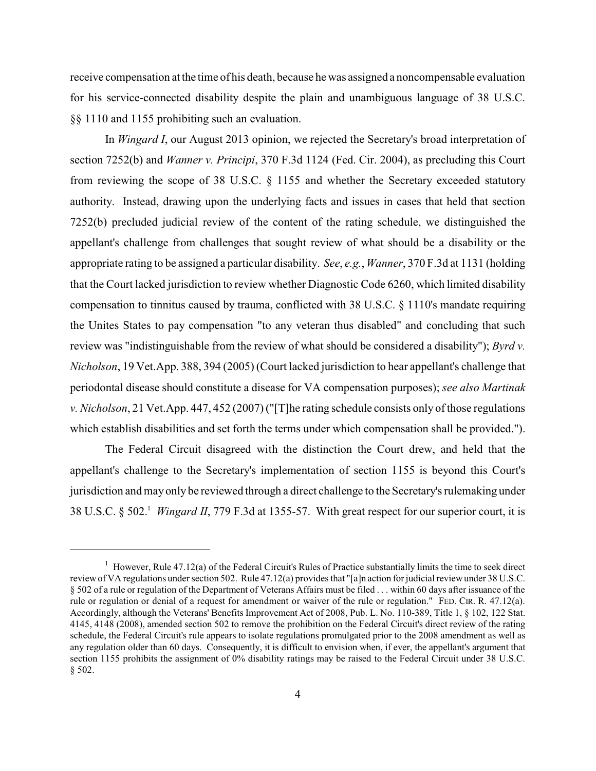receive compensation at the time of his death, because he was assigned a noncompensable evaluation for his service-connected disability despite the plain and unambiguous language of 38 U.S.C. §§ 1110 and 1155 prohibiting such an evaluation.

In *Wingard I*, our August 2013 opinion, we rejected the Secretary's broad interpretation of section 7252(b) and *Wanner v. Principi*, 370 F.3d 1124 (Fed. Cir. 2004), as precluding this Court from reviewing the scope of 38 U.S.C. § 1155 and whether the Secretary exceeded statutory authority. Instead, drawing upon the underlying facts and issues in cases that held that section 7252(b) precluded judicial review of the content of the rating schedule, we distinguished the appellant's challenge from challenges that sought review of what should be a disability or the appropriate rating to be assigned a particular disability. *See*, *e.g.*, *Wanner*, 370 F.3d at 1131 (holding that the Court lacked jurisdiction to review whether Diagnostic Code 6260, which limited disability compensation to tinnitus caused by trauma, conflicted with 38 U.S.C. § 1110's mandate requiring the Unites States to pay compensation "to any veteran thus disabled" and concluding that such review was "indistinguishable from the review of what should be considered a disability"); *Byrd v. Nicholson*, 19 Vet.App. 388, 394 (2005) (Court lacked jurisdiction to hear appellant's challenge that periodontal disease should constitute a disease for VA compensation purposes); *see also Martinak v. Nicholson*, 21 Vet.App. 447, 452 (2007) ("[T]he rating schedule consists only of those regulations which establish disabilities and set forth the terms under which compensation shall be provided.").

The Federal Circuit disagreed with the distinction the Court drew, and held that the appellant's challenge to the Secretary's implementation of section 1155 is beyond this Court's jurisdiction and may only be reviewed through a direct challenge to the Secretary's rulemaking under 38 U.S.C. § 502. *Wingard II*, 779 F.3d at 1355-57. With great respect for our superior court, it is <sup>1</sup>

 $\frac{1}{1}$  However, Rule 47.12(a) of the Federal Circuit's Rules of Practice substantially limits the time to seek direct review of VA regulations under section 502. Rule 47.12(a) provides that "[a]n action for judicial review under 38 U.S.C. § 502 of a rule or regulation of the Department of Veterans Affairs must be filed . . . within 60 days after issuance of the rule or regulation or denial of a request for amendment or waiver of the rule or regulation." FED. CIR. R. 47.12(a). Accordingly, although the Veterans' Benefits Improvement Act of 2008, Pub. L. No. 110-389, Title 1, § 102, 122 Stat. 4145, 4148 (2008), amended section 502 to remove the prohibition on the Federal Circuit's direct review of the rating schedule, the Federal Circuit's rule appears to isolate regulations promulgated prior to the 2008 amendment as well as any regulation older than 60 days. Consequently, it is difficult to envision when, if ever, the appellant's argument that section 1155 prohibits the assignment of 0% disability ratings may be raised to the Federal Circuit under 38 U.S.C. § 502.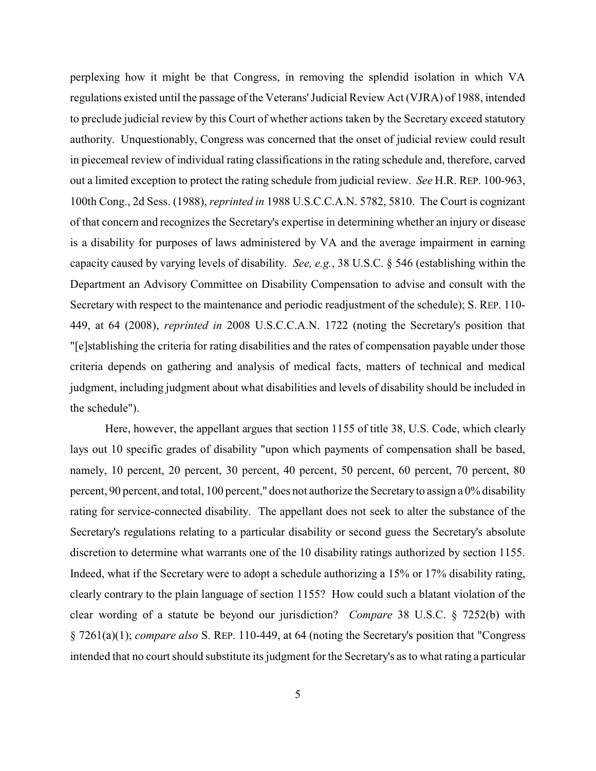perplexing how it might be that Congress, in removing the splendid isolation in which VA regulations existed until the passage of the Veterans'Judicial Review Act (VJRA) of 1988, intended to preclude judicial review by this Court of whether actions taken by the Secretary exceed statutory authority. Unquestionably, Congress was concerned that the onset of judicial review could result in piecemeal review of individual rating classifications in the rating schedule and, therefore, carved out a limited exception to protect the rating schedule from judicial review. *See* H.R. REP. 100-963, 100th Cong., 2d Sess. (1988), *reprinted in* 1988 U.S.C.C.A.N. 5782, 5810. The Court is cognizant of that concern and recognizes the Secretary's expertise in determining whether an injury or disease is a disability for purposes of laws administered by VA and the average impairment in earning capacity caused by varying levels of disability. *See, e.g.*, 38 U.S.C. § 546 (establishing within the Department an Advisory Committee on Disability Compensation to advise and consult with the Secretary with respect to the maintenance and periodic readjustment of the schedule); S. REP. 110- 449, at 64 (2008), *reprinted in* 2008 U.S.C.C.A.N. 1722 (noting the Secretary's position that "[e]stablishing the criteria for rating disabilities and the rates of compensation payable under those criteria depends on gathering and analysis of medical facts, matters of technical and medical judgment, including judgment about what disabilities and levels of disability should be included in the schedule").

Here, however, the appellant argues that section 1155 of title 38, U.S. Code, which clearly lays out 10 specific grades of disability "upon which payments of compensation shall be based, namely, 10 percent, 20 percent, 30 percent, 40 percent, 50 percent, 60 percent, 70 percent, 80 percent, 90 percent, and total, 100 percent," does not authorize the Secretary to assign a 0% disability rating for service-connected disability. The appellant does not seek to alter the substance of the Secretary's regulations relating to a particular disability or second guess the Secretary's absolute discretion to determine what warrants one of the 10 disability ratings authorized by section 1155. Indeed, what if the Secretary were to adopt a schedule authorizing a 15% or 17% disability rating, clearly contrary to the plain language of section 1155? How could such a blatant violation of the clear wording of a statute be beyond our jurisdiction? *Compare* 38 U.S.C. § 7252(b) with § 7261(a)(1); *compare also* S. REP. 110-449, at 64 (noting the Secretary's position that "Congress intended that no court should substitute its judgment for the Secretary's as to what rating a particular